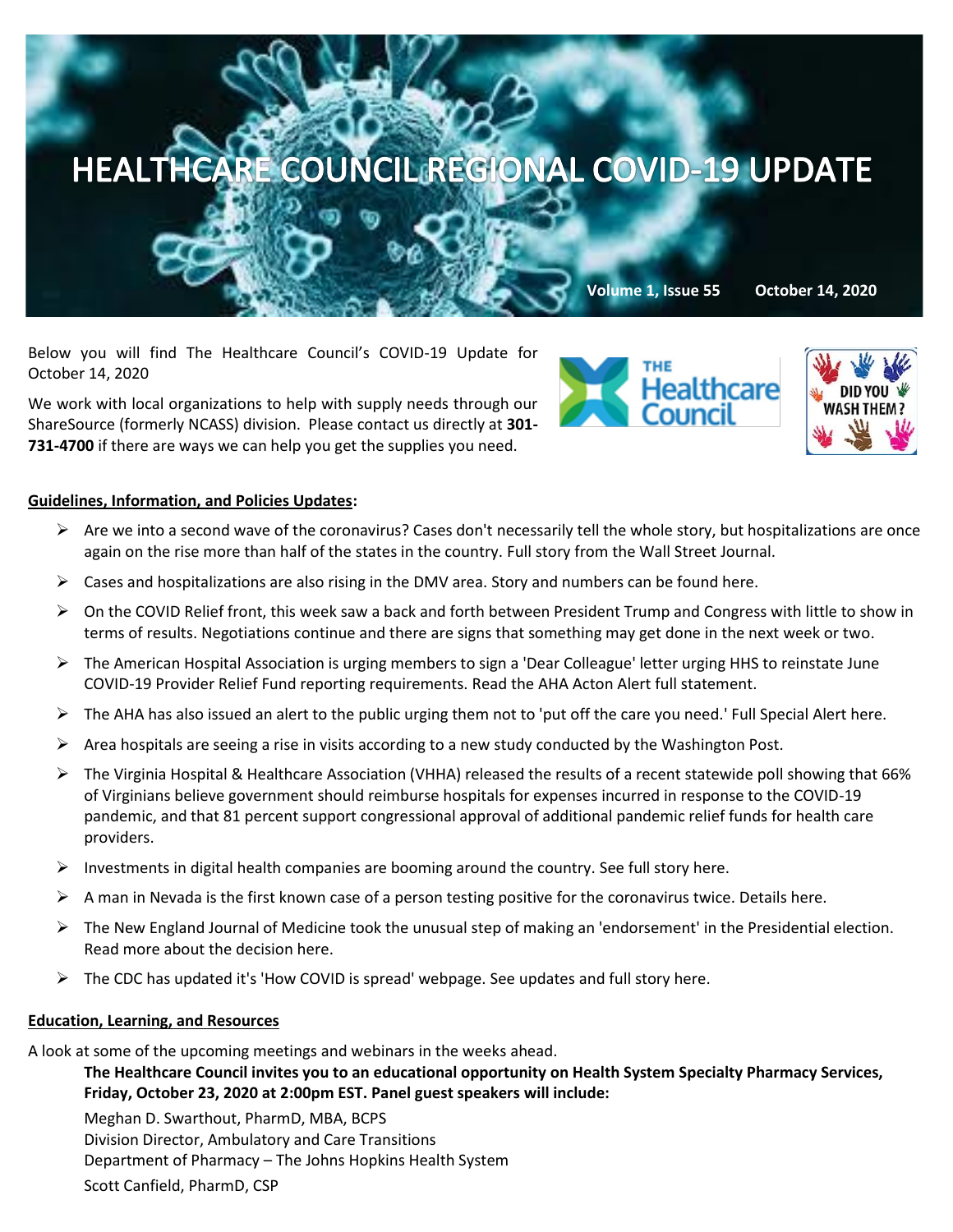

Below you will find The Healthcare Council's COVID-19 Update for October 14, 2020

We work with local organizations to help with supply needs through our ShareSource (formerly NCASS) division. Please contact us directly at **301- 731-4700** if there are ways we can help you get the supplies you need.





# **Guidelines, Information, and Policies Updates:**

- $\triangleright$  Are we into a second wave of the coronavirus? Cases don't necessarily tell the whole story, but hospitalizations are once again on the rise more than half of the states in the country[. Full story from the Wall Street Journal.](https://www.wsj.com/articles/coronavirus-latest-updates-10-13-2020-11602576041)
- $\triangleright$  Cases and hospitalizations are also rising in the DMV area[. Story and numbers can be found here.](https://www.wusa9.com/article/news/health/coronavirus/coronavirus-covid-19-maryland-dc-virginia-vaccine-reopening/65-b1bcce21-f1e6-4e01-a928-8501af45d657)
- $\triangleright$  On the COVID Relief front, this week saw a back and forth between President Trump and Congress with little to show in terms of results. Negotiations continue and there are signs that something may get done in the next week or two.
- ➢ The American Hospital Association is urging members to sign a 'Dear Colleague' letter urging HHS to reinstate June COVID-19 Provider Relief Fund reporting requirements. [Read the AHA Acton Alert full statement.](https://contentsharing.net/actions/email_web_version.cfm?ep=Bdhtp-zVuqFkgQiV6-lxty0f-nrLBJWzuTngPvD-5dXxKZZb-Zv83XBalaliE5_nNmOeUrnIioSNv-XwfE6gMz9zTI0CtuS49AhHFcxgPexNM2WzvZGvc5CSXug4AX7L)
- $\triangleright$  The AHA has also issued an alert to the public urging them not to 'put off the care you need.' [Full Special Alert here.](https://mail.google.com/mail/u/0/#inbox/FMfcgxwKhqkRGZPvzSMTzlNHwpNGWSGf)
- $\triangleright$  Area hospitals are seeing a rise in visits according to a [new study conducted by the Washington Post.](https://www.washingtonpost.com/local/after-plummeting-at-start-of-pandemic-local-hospital-visits-are-on-the-rise/2020/10/09/8d537970-0a48-11eb-859b-f9c27abe638d_story.html)
- $\triangleright$  The Virginia Hospital & Healthcare Association (VHHA) released the results of a recent statewide poll showing that 66% of Virginians believe government should reimburse hospitals for expenses incurred in response to the COVID-19 pandemic, and that 81 percent support congressional approval of additional pandemic relief funds for health care providers.
- $\triangleright$  Investments in digital health companies are booming around the country. See full story here.
- $\triangleright$  A man in Nevada is the first known case of a person testing positive for the coronavirus twice. [Details here.](https://www.npr.org/sections/coronavirus-live-updates/2020/10/12/922980490/scientists-confirm-nevada-man-was-infected-twice-with-coronavirus?mkt_tok=eyJpIjoiTmpZek1qZzRNV1E0TXpSaCIsInQiOiJxZDNSSEE4UFd0RzlQUjlmcFBRWFlNOFA3b3p1NzA0SkNDRTZrQVZtMmtiRVptWmpqNkc5bXRzUWd4YWhZU0JVZVhIR094c24yWjNcL01oMFRqWUhsNVB0dTRmbmttb0NZZUJcL0RKd1c5S2MyWlZUaWNOWVNUVExmS1l5bWRSNVlqIn0=)
- $\triangleright$  The New England Journal of Medicine took the unusual step of making an 'endorsement' in the Presidential election. [Read more about the decision here.](https://www.managedhealthcareexecutive.com/view/new-england-journal-of-medicine-editor-in-chief-throw-the-bums-out-?utm_source=sfmc&utm_medium=email&utm_campaign=10.12.2020_MHE_eNL_PBMI%204th%20Annual%20Specialty%20Rx%20Forum&eKey=bHBpdHRvbkBoZWFsdGhjYXJlLWNvdW5jaWwub3Jn)
- $\triangleright$  The CDC has updated it's 'How COVID is spread' webpage. [See updates and full story here.](https://www.cdc.gov/media/releases/2020/s1005-how-spread-covd.html?ACSTrackingID=USCDC_1_3-DM40214&ACSTrackingLabel=CDC%20Newsroom:%20Week%20In%20Review%20-%2010/05/20&deliveryName=USCDC_1_3-DM40214)

## **Education, Learning, and Resources**

A look at some of the upcoming meetings and webinars in the weeks ahead.

**The Healthcare Council invites you to an educational opportunity on Health System Specialty Pharmacy Services, Friday, October 23, 2020 at 2:00pm EST. Panel guest speakers will include:**

Meghan D. Swarthout, PharmD, MBA, BCPS Division Director, Ambulatory and Care Transitions Department of Pharmacy – The Johns Hopkins Health System Scott Canfield, PharmD, CSP